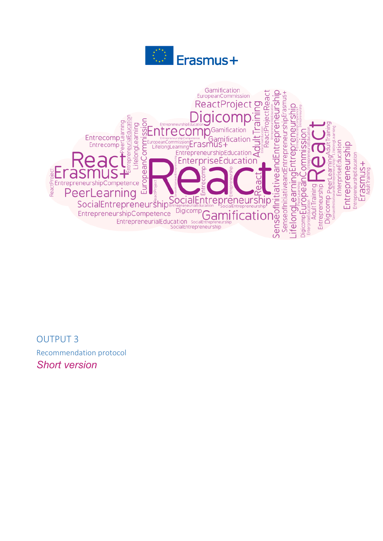



OUTPUT 3 Recommendation protocol *Short version*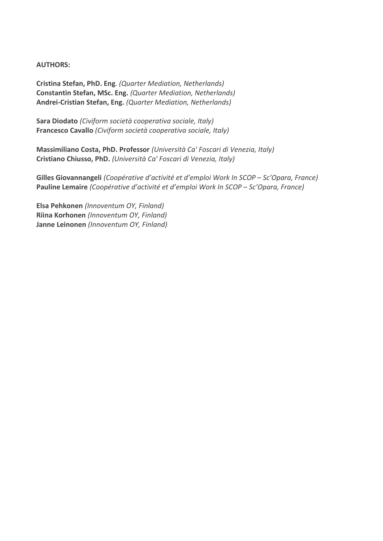# **AUTHORS:**

**Cristina Stefan, PhD. Eng**. *(Quarter Mediation, Netherlands)* **Constantin Stefan, MSc. Eng.** *(Quarter Mediation, Netherlands)* **Andrei-Cristian Stefan, Eng.** *(Quarter Mediation, Netherlands)*

**Sara Diodato** *(Civiform società cooperativa sociale, Italy)* **Francesco Cavallo** *(Civiform società cooperativa sociale, Italy)*

**Massimiliano Costa, PhD. Professor** *(Università Ca' Foscari di Venezia, Italy)* **Cristiano Chiusso, PhD.** *(Università Ca' Foscari di Venezia, Italy)*

**Gilles Giovannangeli** *(Coopérative d'activité et d'emploi Work In SCOP – Sc'Opara, France)* **Pauline Lemaire** *(Coopérative d'activité et d'emploi Work In SCOP – Sc'Opara, France)*

**Elsa Pehkonen** *(Innoventum OY, Finland)* **Riina Korhonen** *(Innoventum OY, Finland)* **Janne Leinonen** *(Innoventum OY, Finland)*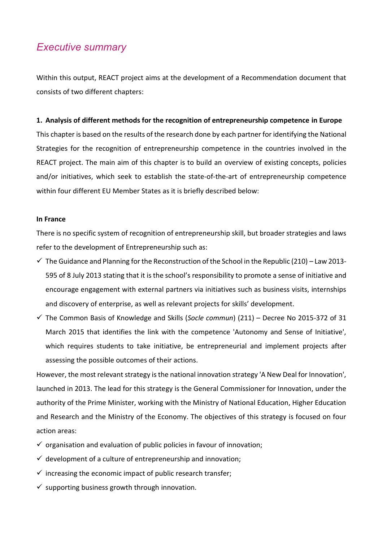# *Executive summary*

Within this output, REACT project aims at the development of a Recommendation document that consists of two different chapters:

## **1. Analysis of different methods for the recognition of entrepreneurship competence in Europe**

This chapter is based on the results of the research done by each partner for identifying the National Strategies for the recognition of entrepreneurship competence in the countries involved in the REACT project. The main aim of this chapter is to build an overview of existing concepts, policies and/or initiatives, which seek to establish the state-of-the-art of entrepreneurship competence within four different EU Member States as it is briefly described below:

#### **In France**

There is no specific system of recognition of entrepreneurship skill, but broader strategies and laws refer to the development of Entrepreneurship such as:

- $\checkmark$  The Guidance and Planning for the Reconstruction of the School in the Republic (210) Law 2013-595 of 8 July 2013 stating that it is the school's responsibility to promote a sense of initiative and encourage engagement with external partners via initiatives such as business visits, internships and discovery of enterprise, as well as relevant projects for skills' development.
- ✓ The Common Basis of Knowledge and Skills (*Socle commun*) (211) Decree No 2015-372 of 31 March 2015 that identifies the link with the competence 'Autonomy and Sense of Initiative', which requires students to take initiative, be entrepreneurial and implement projects after assessing the possible outcomes of their actions.

However, the most relevant strategy is the national innovation strategy 'A New Deal for Innovation', launched in 2013. The lead for this strategy is the General Commissioner for Innovation, under the authority of the Prime Minister, working with the Ministry of National Education, Higher Education and Research and the Ministry of the Economy. The objectives of this strategy is focused on four action areas:

- $\checkmark$  organisation and evaluation of public policies in favour of innovation;
- $\checkmark$  development of a culture of entrepreneurship and innovation;
- $\checkmark$  increasing the economic impact of public research transfer;
- $\checkmark$  supporting business growth through innovation.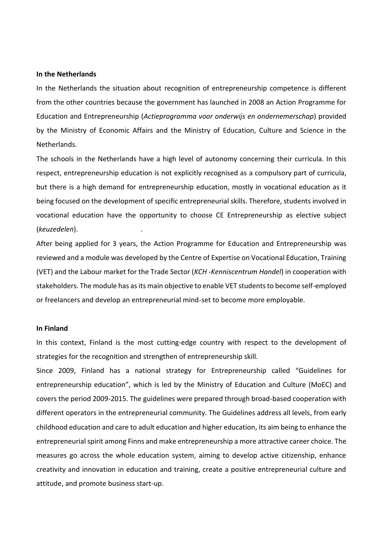#### **In the Netherlands**

In the Netherlands the situation about recognition of entrepreneurship competence is different from the other countries because the government has launched in 2008 an Action Programme for Education and Entrepreneurship (*Actieprogramma voor onderwijs en ondernemerschap*) provided by the Ministry of Economic Affairs and the Ministry of Education, Culture and Science in the Netherlands.

The schools in the Netherlands have a high level of autonomy concerning their curricula. In this respect, entrepreneurship education is not explicitly recognised as a compulsory part of curricula, but there is a high demand for entrepreneurship education, mostly in vocational education as it being focused on the development of specific entrepreneurial skills. Therefore, students involved in vocational education have the opportunity to choose CE Entrepreneurship as elective subject (*keuzedelen*). .

After being applied for 3 years, the Action Programme for Education and Entrepreneurship was reviewed and a module was developed by the Centre of Expertise on Vocational Education, Training (VET) and the Labour market for the Trade Sector (*KCH -Kenniscentrum Handel*) in cooperation with stakeholders. The module has as its main objective to enable VET students to become self-employed or freelancers and develop an entrepreneurial mind-set to become more employable.

#### **In Finland**

In this context, Finland is the most cutting-edge country with respect to the development of strategies for the recognition and strengthen of entrepreneurship skill.

Since 2009, Finland has a national strategy for Entrepreneurship called "Guidelines for entrepreneurship education", which is led by the Ministry of Education and Culture (MoEC) and covers the period 2009-2015. The guidelines were prepared through broad-based cooperation with different operators in the entrepreneurial community. The Guidelines address all levels, from early childhood education and care to adult education and higher education, its aim being to enhance the entrepreneurial spirit among Finns and make entrepreneurship a more attractive career choice. The measures go across the whole education system, aiming to develop active citizenship, enhance creativity and innovation in education and training, create a positive entrepreneurial culture and attitude, and promote business start-up.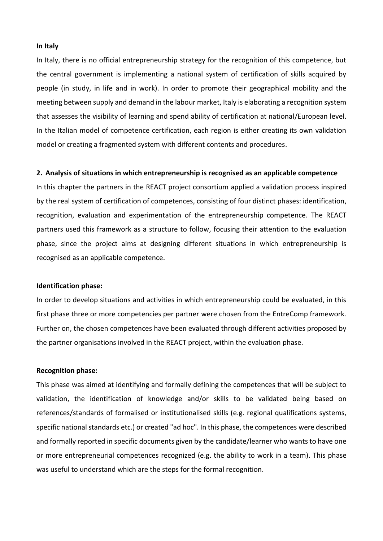#### **In Italy**

In Italy, there is no official entrepreneurship strategy for the recognition of this competence, but the central government is implementing a national system of certification of skills acquired by people (in study, in life and in work). In order to promote their geographical mobility and the meeting between supply and demand in the labour market, Italy is elaborating a recognition system that assesses the visibility of learning and spend ability of certification at national/European level. In the Italian model of competence certification, each region is either creating its own validation model or creating a fragmented system with different contents and procedures.

#### **2. Analysis of situations in which entrepreneurship is recognised as an applicable competence**

In this chapter the partners in the REACT project consortium applied a validation process inspired by the real system of certification of competences, consisting of four distinct phases: identification, recognition, evaluation and experimentation of the entrepreneurship competence. The REACT partners used this framework as a structure to follow, focusing their attention to the evaluation phase, since the project aims at designing different situations in which entrepreneurship is recognised as an applicable competence.

#### **Identification phase:**

In order to develop situations and activities in which entrepreneurship could be evaluated, in this first phase three or more competencies per partner were chosen from the EntreComp framework. Further on, the chosen competences have been evaluated through different activities proposed by the partner organisations involved in the REACT project, within the evaluation phase.

#### **Recognition phase:**

This phase was aimed at identifying and formally defining the competences that will be subject to validation, the identification of knowledge and/or skills to be validated being based on references/standards of formalised or institutionalised skills (e.g. regional qualifications systems, specific national standards etc.) or created "ad hoc". In this phase, the competences were described and formally reported in specific documents given by the candidate/learner who wants to have one or more entrepreneurial competences recognized (e.g. the ability to work in a team). This phase was useful to understand which are the steps for the formal recognition.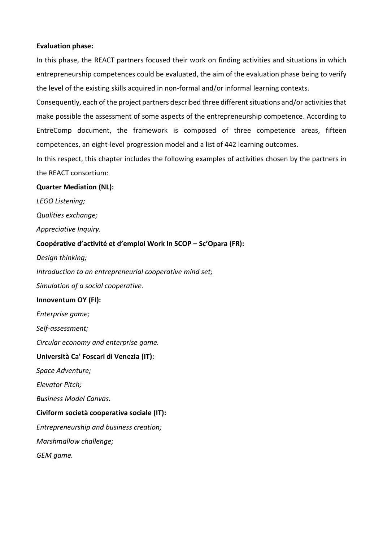#### **Evaluation phase:**

In this phase, the REACT partners focused their work on finding activities and situations in which entrepreneurship competences could be evaluated, the aim of the evaluation phase being to verify the level of the existing skills acquired in non-formal and/or informal learning contexts.

Consequently, each of the project partners described three different situations and/or activities that make possible the assessment of some aspects of the entrepreneurship competence. According to EntreComp document, the framework is composed of three competence areas, fifteen competences, an eight-level progression model and a list of 442 learning outcomes.

In this respect, this chapter includes the following examples of activities chosen by the partners in the REACT consortium:

## **Quarter Mediation (NL):**

*LEGO Listening;* 

*Qualities exchange;* 

*Appreciative Inquiry.*

# **Coopérative d'activité et d'emploi Work In SCOP – Sc'Opara (FR):**

*Design thinking;* 

*Introduction to an entrepreneurial cooperative mind set;* 

*Simulation of a social cooperative.*

#### **Innoventum OY (FI):**

*Enterprise game;* 

*Self-assessment;* 

*Circular economy and enterprise game.*

# **Università Ca' Foscari di Venezia (IT):**

*Space Adventure;* 

*Elevator Pitch;* 

*Business Model Canvas.*

# **Civiform società cooperativa sociale (IT):**

*Entrepreneurship and business creation;* 

*Marshmallow challenge;* 

*GEM game.*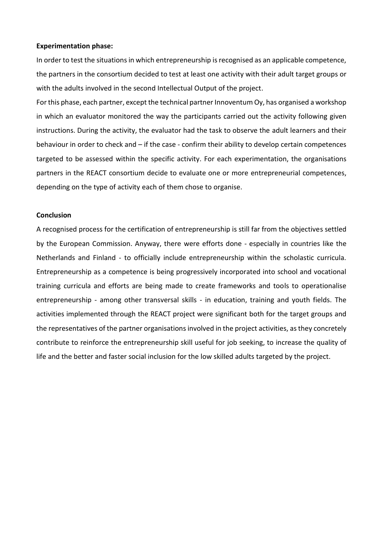#### **Experimentation phase:**

In order to test the situations in which entrepreneurship is recognised as an applicable competence, the partners in the consortium decided to test at least one activity with their adult target groups or with the adults involved in the second Intellectual Output of the project.

For this phase, each partner, except the technical partner Innoventum Oy, has organised a workshop in which an evaluator monitored the way the participants carried out the activity following given instructions. During the activity, the evaluator had the task to observe the adult learners and their behaviour in order to check and – if the case - confirm their ability to develop certain competences targeted to be assessed within the specific activity. For each experimentation, the organisations partners in the REACT consortium decide to evaluate one or more entrepreneurial competences, depending on the type of activity each of them chose to organise.

#### **Conclusion**

A recognised process for the certification of entrepreneurship is still far from the objectives settled by the European Commission. Anyway, there were efforts done - especially in countries like the Netherlands and Finland - to officially include entrepreneurship within the scholastic curricula. Entrepreneurship as a competence is being progressively incorporated into school and vocational training curricula and efforts are being made to create frameworks and tools to operationalise entrepreneurship - among other transversal skills - in education, training and youth fields. The activities implemented through the REACT project were significant both for the target groups and the representatives of the partner organisations involved in the project activities, as they concretely contribute to reinforce the entrepreneurship skill useful for job seeking, to increase the quality of life and the better and faster social inclusion for the low skilled adults targeted by the project.